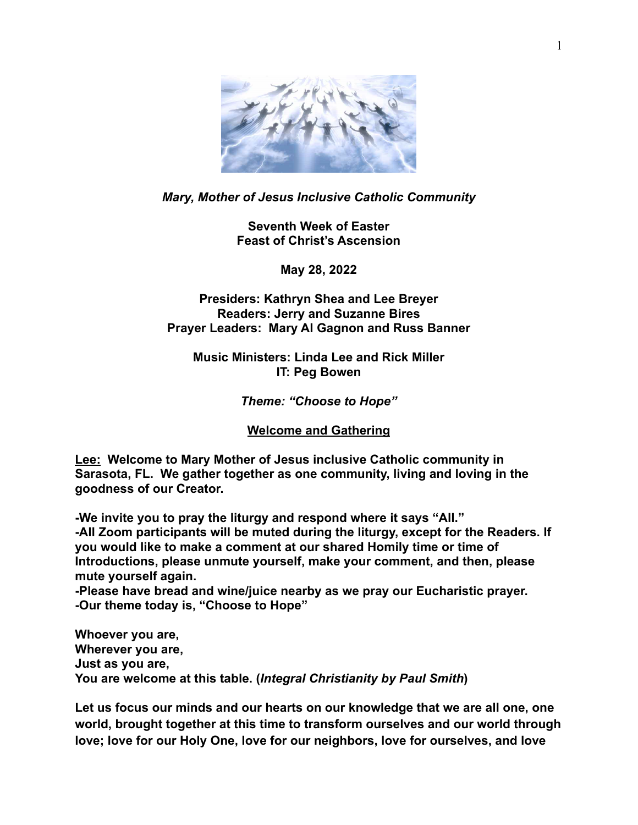

# *Mary, Mother of Jesus Inclusive Catholic Community*

**Seventh Week of Easter Feast of Christ's Ascension**

**May 28, 2022**

# **Presiders: Kathryn Shea and Lee Breyer Readers: Jerry and Suzanne Bires Prayer Leaders: Mary Al Gagnon and Russ Banner**

**Music Ministers: Linda Lee and Rick Miller IT: Peg Bowen**

## *Theme: "Choose to Hope"*

#### **Welcome and Gathering**

**Lee: Welcome to Mary Mother of Jesus inclusive Catholic community in Sarasota, FL. We gather together as one community, living and loving in the goodness of our Creator.** 

**-We invite you to pray the liturgy and respond where it says "All." -All Zoom participants will be muted during the liturgy, except for the Readers. If you would like to make a comment at our shared Homily time or time of Introductions, please unmute yourself, make your comment, and then, please mute yourself again.** 

**-Please have bread and wine/juice nearby as we pray our Eucharistic prayer. -Our theme today is, "Choose to Hope"** 

**Whoever you are, Wherever you are, Just as you are, You are welcome at this table. (***Integral Christianity by Paul Smith***)**

**Let us focus our minds and our hearts on our knowledge that we are all one, one world, brought together at this time to transform ourselves and our world through love; love for our Holy One, love for our neighbors, love for ourselves, and love**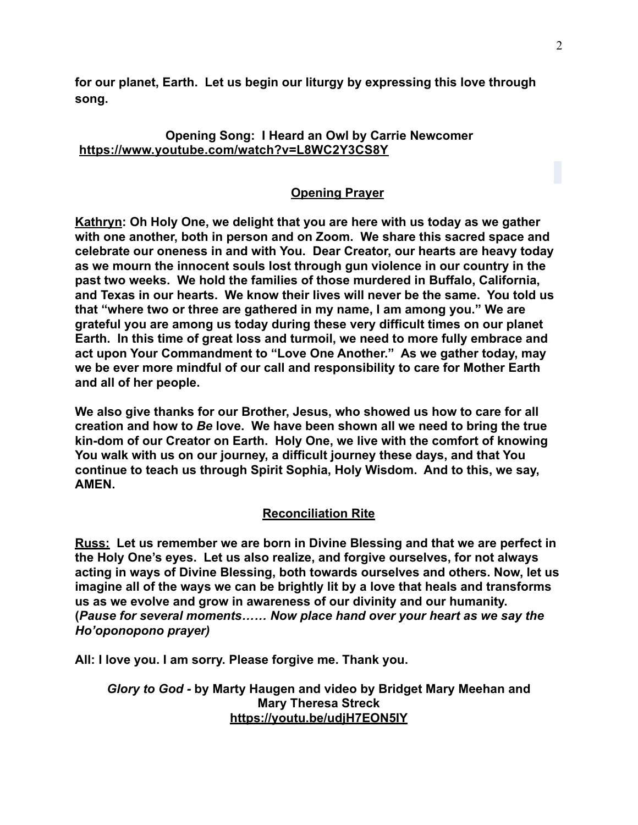**for our planet, Earth. Let us begin our liturgy by expressing this love through song.** 

## **Opening Song: I Heard an Owl by Carrie Newcomer <https://www.youtube.com/watch?v=L8WC2Y3CS8Y>**

# **Opening Prayer**

**Kathryn: Oh Holy One, we delight that you are here with us today as we gather with one another, both in person and on Zoom. We share this sacred space and celebrate our oneness in and with You. Dear Creator, our hearts are heavy today as we mourn the innocent souls lost through gun violence in our country in the past two weeks. We hold the families of those murdered in Buffalo, California, and Texas in our hearts. We know their lives will never be the same. You told us that "where two or three are gathered in my name, I am among you." We are grateful you are among us today during these very difficult times on our planet Earth. In this time of great loss and turmoil, we need to more fully embrace and act upon Your Commandment to "Love One Another." As we gather today, may we be ever more mindful of our call and responsibility to care for Mother Earth and all of her people.** 

**We also give thanks for our Brother, Jesus, who showed us how to care for all creation and how to** *Be* **love. We have been shown all we need to bring the true kin-dom of our Creator on Earth. Holy One, we live with the comfort of knowing You walk with us on our journey, a difficult journey these days, and that You continue to teach us through Spirit Sophia, Holy Wisdom. And to this, we say, AMEN.**

# **Reconciliation Rite**

**Russ: Let us remember we are born in Divine Blessing and that we are perfect in the Holy One's eyes. Let us also realize, and forgive ourselves, for not always acting in ways of Divine Blessing, both towards ourselves and others. Now, let us imagine all of the ways we can be brightly lit by a love that heals and transforms us as we evolve and grow in awareness of our divinity and our humanity. (***Pause for several moments…… Now place hand over your heart as we say the Ho'oponopono prayer)*

**All: I love you. I am sorry. Please forgive me. Thank you.** 

*Glory to God -* **by Marty Haugen and video by Bridget Mary Meehan and Mary Theresa Streck <https://youtu.be/udjH7EON5IY>**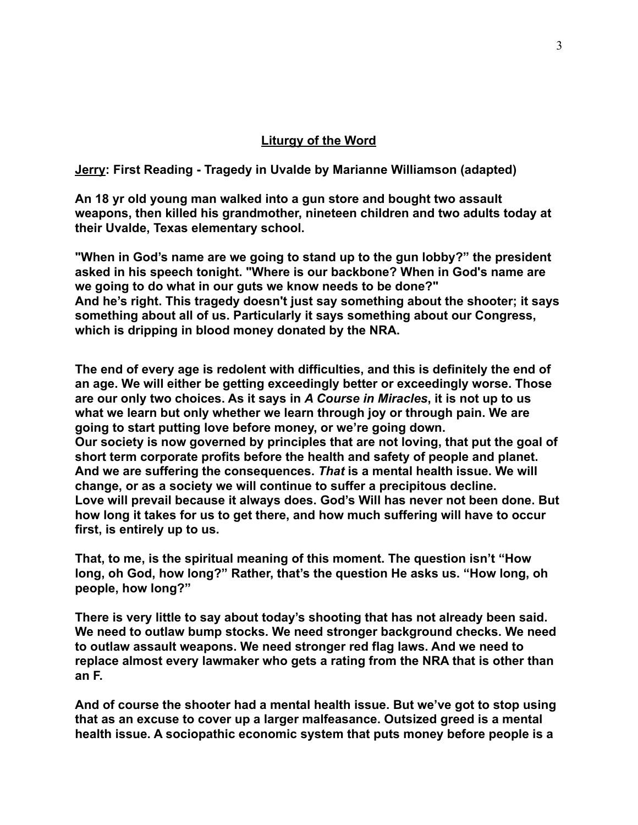#### **Liturgy of the Word**

**Jerry: First Reading - Tragedy in Uvalde by Marianne Williamson (adapted)**

**An 18 yr old young man walked into a gun store and bought two assault weapons, then killed his grandmother, nineteen children and two adults today at their Uvalde, Texas elementary school.** 

**"When in God's name are we going to stand up to the gun lobby?" the president asked in his speech tonight. "Where is our backbone? When in God's name are we going to do what in our guts we know needs to be done?" And he's right. This tragedy doesn't just say something about the shooter; it says something about all of us. Particularly it says something about our Congress, which is dripping in blood money donated by the NRA.**

**The end of every age is redolent with difficulties, and this is definitely the end of an age. We will either be getting exceedingly better or exceedingly worse. Those are our only two choices. As it says in** *A Course in Miracles***, it is not up to us what we learn but only whether we learn through joy or through pain. We are going to start putting love before money, or we're going down. Our society is now governed by principles that are not loving, that put the goal of short term corporate profits before the health and safety of people and planet. And we are suffering the consequences.** *That* **is a mental health issue. We will change, or as a society we will continue to suffer a precipitous decline. Love will prevail because it always does. God's Will has never not been done. But how long it takes for us to get there, and how much suffering will have to occur first, is entirely up to us.** 

**That, to me, is the spiritual meaning of this moment. The question isn't "How long, oh God, how long?" Rather, that's the question He asks us. "How long, oh people, how long?"**

**There is very little to say about today's shooting that has not already been said. We need to outlaw bump stocks. We need stronger background checks. We need to outlaw assault weapons. We need stronger red flag laws. And we need to replace almost every lawmaker who gets a rating from the NRA that is other than an F.**

**And of course the shooter had a mental health issue. But we've got to stop using that as an excuse to cover up a larger malfeasance. Outsized greed is a mental health issue. A sociopathic economic system that puts money before people is a**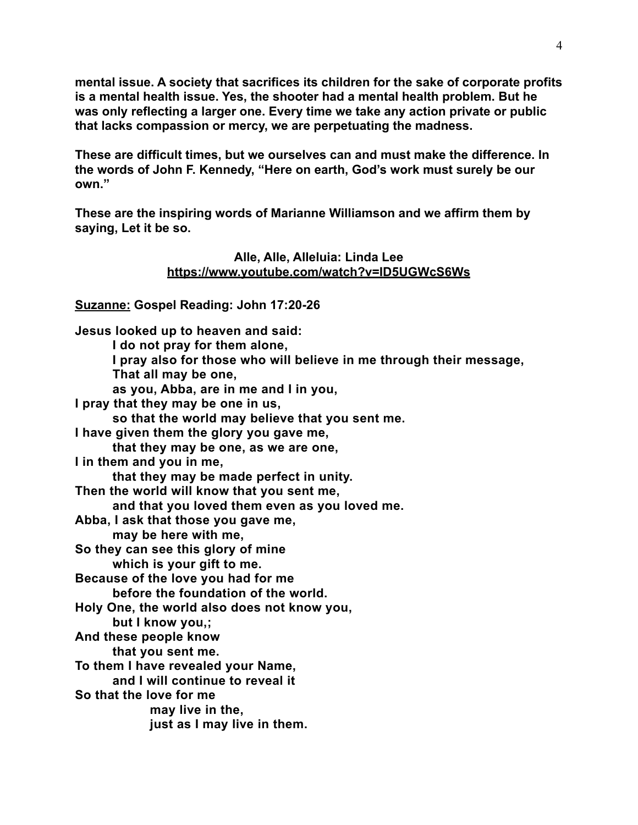**mental issue. A society that sacrifices its children for the sake of corporate profits is a mental health issue. Yes, the shooter had a mental health problem. But he was only reflecting a larger one. Every time we take any action private or public that lacks compassion or mercy, we are perpetuating the madness.**

**These are difficult times, but we ourselves can and must make the difference. In the words of John F. Kennedy, "Here on earth, God's work must surely be our own."**

**These are the inspiring words of Marianne Williamson and we affirm them by saying, Let it be so.** 

#### **Alle, Alle, Alleluia: Linda Lee https://www.youtube.com/watch?v=ID5UGWcS6Ws**

**Suzanne: Gospel Reading: John 17:20-26** 

**Jesus looked up to heaven and said: I do not pray for them alone, I pray also for those who will believe in me through their message, That all may be one, as you, Abba, are in me and I in you, I pray that they may be one in us, so that the world may believe that you sent me. I have given them the glory you gave me, that they may be one, as we are one, I in them and you in me, that they may be made perfect in unity. Then the world will know that you sent me, and that you loved them even as you loved me. Abba, I ask that those you gave me, may be here with me, So they can see this glory of mine which is your gift to me. Because of the love you had for me before the foundation of the world. Holy One, the world also does not know you, but I know you,; And these people know that you sent me. To them I have revealed your Name, and I will continue to reveal it So that the love for me may live in the, just as I may live in them.**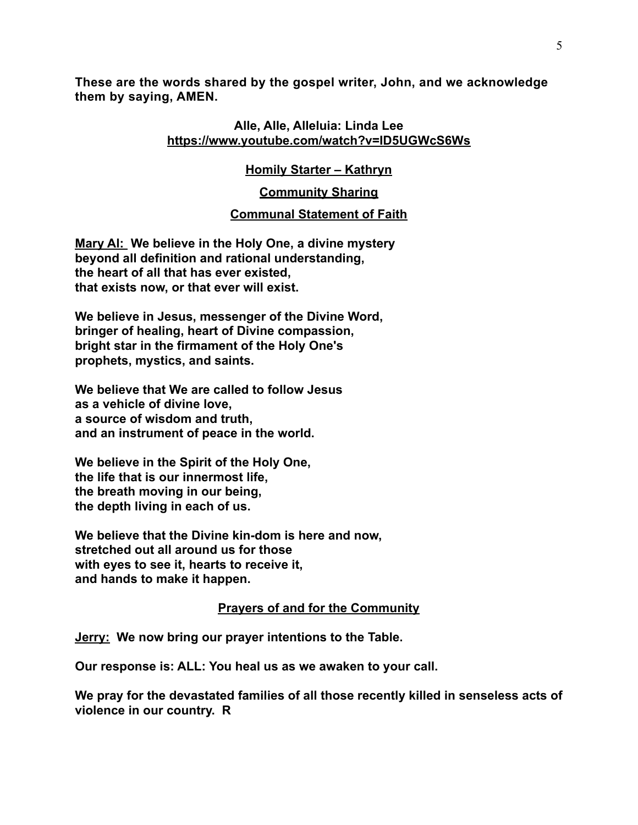**These are the words shared by the gospel writer, John, and we acknowledge them by saying, AMEN.**

#### **Alle, Alle, Alleluia: Linda Le[e](https://www.youtube.com/watch?v=ID5UGWcS6Ws) <https://www.youtube.com/watch?v=ID5UGWcS6Ws>**

# **Homily Starter – Kathryn**

## **Community Sharing**

# **Communal Statement of Faith**

**Mary Al: We believe in the Holy One, a divine mystery beyond all definition and rational understanding, the heart of all that has ever existed, that exists now, or that ever will exist.** 

**We believe in Jesus, messenger of the Divine Word, bringer of healing, heart of Divine compassion, bright star in the firmament of the Holy One's prophets, mystics, and saints.** 

**We believe that We are called to follow Jesus as a vehicle of divine love, a source of wisdom and truth, and an instrument of peace in the world.** 

**We believe in the Spirit of the Holy One, the life that is our innermost life, the breath moving in our being, the depth living in each of us.** 

**We believe that the Divine kin-dom is here and now, stretched out all around us for those with eyes to see it, hearts to receive it, and hands to make it happen.** 

## **Prayers of and for the Community**

**Jerry: We now bring our prayer intentions to the Table.**

**Our response is: ALL: You heal us as we awaken to your call.** 

**We pray for the devastated families of all those recently killed in senseless acts of violence in our country. R**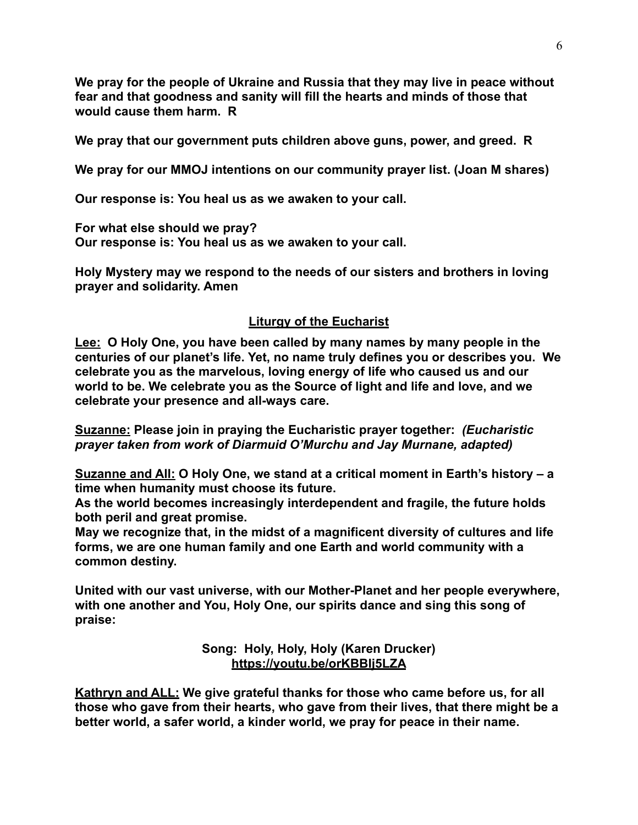**We pray for the people of Ukraine and Russia that they may live in peace without fear and that goodness and sanity will fill the hearts and minds of those that would cause them harm. R**

**We pray that our government puts children above guns, power, and greed. R**

**We pray for our MMOJ intentions on our community prayer list. (Joan M shares)**

**Our response is: You heal us as we awaken to your call.** 

**For what else should we pray? Our response is: You heal us as we awaken to your call.**

**Holy Mystery may we respond to the needs of our sisters and brothers in loving prayer and solidarity. Amen**

# **Liturgy of the Eucharist**

**Lee: O Holy One, you have been called by many names by many people in the centuries of our planet's life. Yet, no name truly defines you or describes you. We celebrate you as the marvelous, loving energy of life who caused us and our world to be. We celebrate you as the Source of light and life and love, and we celebrate your presence and all-ways care.**

**Suzanne: Please join in praying the Eucharistic prayer together:** *(Eucharistic prayer taken from work of Diarmuid O'Murchu and Jay Murnane, adapted)*

**Suzanne and All: O Holy One, we stand at a critical moment in Earth's history – a time when humanity must choose its future.** 

**As the world becomes increasingly interdependent and fragile, the future holds both peril and great promise.**

**May we recognize that, in the midst of a magnificent diversity of cultures and life forms, we are one human family and one Earth and world community with a common destiny.** 

**United with our vast universe, with our Mother-Planet and her people everywhere, with one another and You, Holy One, our spirits dance and sing this song of praise:** 

> **Song: Holy, Holy, Holy (Karen Drucker) <https://youtu.be/orKBBIj5LZA>**

**Kathryn and ALL: We give grateful thanks for those who came before us, for all those who gave from their hearts, who gave from their lives, that there might be a better world, a safer world, a kinder world, we pray for peace in their name.**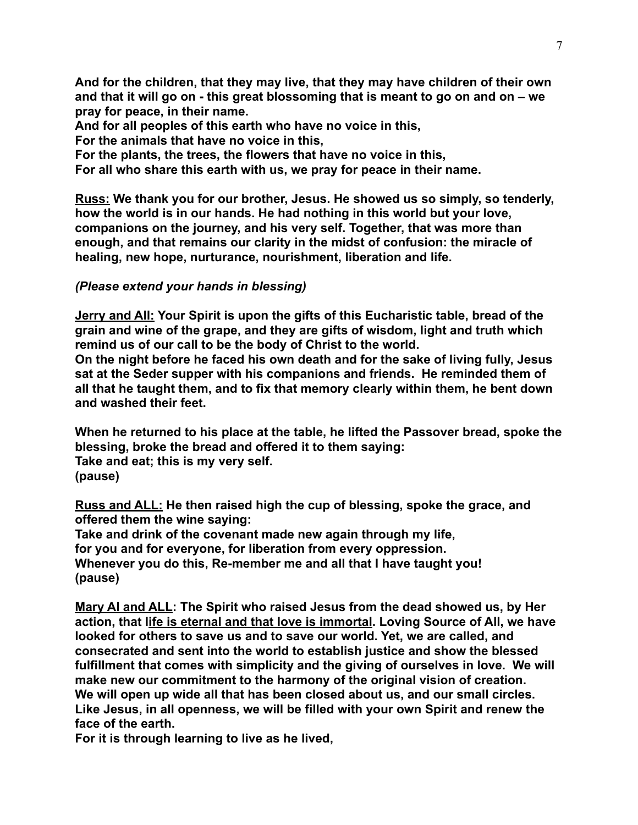**And for the children, that they may live, that they may have children of their own and that it will go on - this great blossoming that is meant to go on and on – we pray for peace, in their name.** 

**And for all peoples of this earth who have no voice in this,**

**For the animals that have no voice in this,**

**For the plants, the trees, the flowers that have no voice in this,**

**For all who share this earth with us, we pray for peace in their name.**

**Russ: We thank you for our brother, Jesus. He showed us so simply, so tenderly, how the world is in our hands. He had nothing in this world but your love, companions on the journey, and his very self. Together, that was more than enough, and that remains our clarity in the midst of confusion: the miracle of healing, new hope, nurturance, nourishment, liberation and life.**

## *(Please extend your hands in blessing)*

**Jerry and All: Your Spirit is upon the gifts of this Eucharistic table, bread of the grain and wine of the grape, and they are gifts of wisdom, light and truth which remind us of our call to be the body of Christ to the world.**

**On the night before he faced his own death and for the sake of living fully, Jesus sat at the Seder supper with his companions and friends. He reminded them of all that he taught them, and to fix that memory clearly within them, he bent down and washed their feet.**

**When he returned to his place at the table, he lifted the Passover bread, spoke the blessing, broke the bread and offered it to them saying: Take and eat; this is my very self. (pause)**

**Russ and ALL: He then raised high the cup of blessing, spoke the grace, and offered them the wine saying:** 

**Take and drink of the covenant made new again through my life, for you and for everyone, for liberation from every oppression. Whenever you do this, Re-member me and all that I have taught you! (pause)**

**Mary Al and ALL: The Spirit who raised Jesus from the dead showed us, by Her action, that life is eternal and that love is immortal. Loving Source of All, we have looked for others to save us and to save our world. Yet, we are called, and consecrated and sent into the world to establish justice and show the blessed fulfillment that comes with simplicity and the giving of ourselves in love. We will make new our commitment to the harmony of the original vision of creation. We will open up wide all that has been closed about us, and our small circles. Like Jesus, in all openness, we will be filled with your own Spirit and renew the face of the earth.**

**For it is through learning to live as he lived,**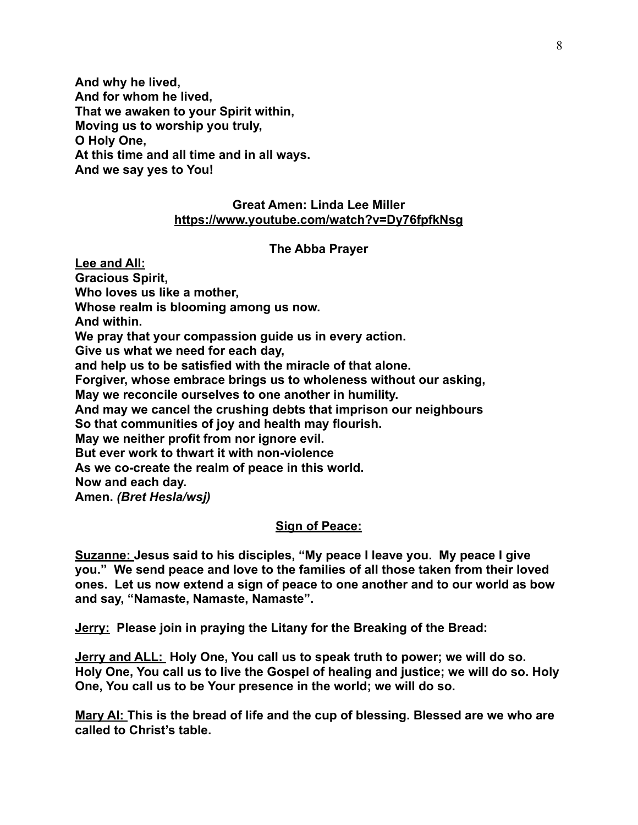**And why he lived, And for whom he lived, That we awaken to your Spirit within, Moving us to worship you truly, O Holy One, At this time and all time and in all ways. And we say yes to You!**

## **Great Amen: Linda Lee Miller <https://www.youtube.com/watch?v=Dy76fpfkNsg>**

#### **The Abba Prayer**

**Lee and All: Gracious Spirit, Who loves us like a mother, Whose realm is blooming among us now. And within. We pray that your compassion guide us in every action. Give us what we need for each day, and help us to be satisfied with the miracle of that alone. Forgiver, whose embrace brings us to wholeness without our asking, May we reconcile ourselves to one another in humility. And may we cancel the crushing debts that imprison our neighbours So that communities of joy and health may flourish. May we neither profit from nor ignore evil. But ever work to thwart it with non-violence As we co-create the realm of peace in this world. Now and each day. Amen.** *(Bret Hesla/wsj)*

## **Sign of Peace:**

**Suzanne: Jesus said to his disciples, "My peace I leave you. My peace I give you." We send peace and love to the families of all those taken from their loved ones. Let us now extend a sign of peace to one another and to our world as bow and say, "Namaste, Namaste, Namaste".** 

**Jerry: Please join in praying the Litany for the Breaking of the Bread:**

**Jerry and ALL: Holy One, You call us to speak truth to power; we will do so. Holy One, You call us to live the Gospel of healing and justice; we will do so. Holy One, You call us to be Your presence in the world; we will do so.**

**Mary Al: This is the bread of life and the cup of blessing. Blessed are we who are called to Christ's table.**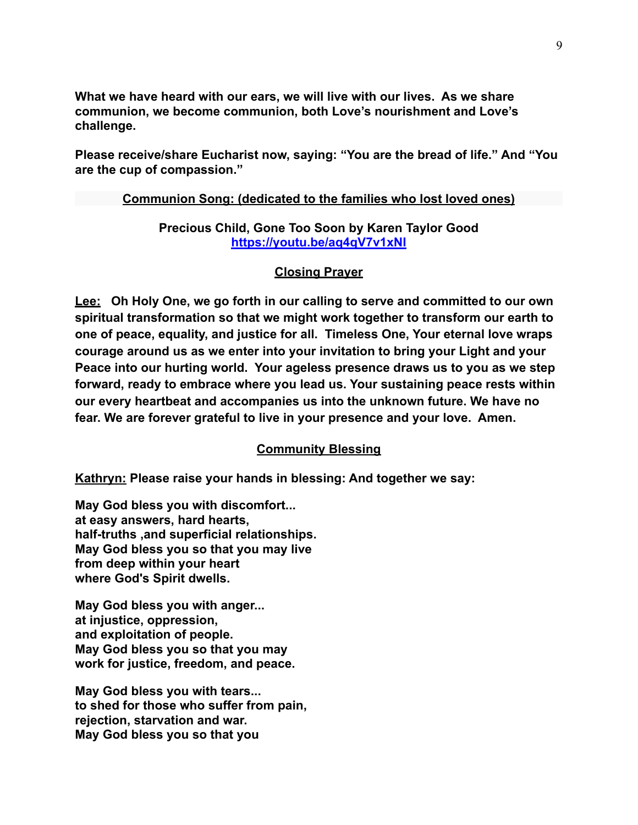**What we have heard with our ears, we will live with our lives. As we share communion, we become communion, both Love's nourishment and Love's challenge.** 

**Please receive/share Eucharist now, saying: "You are the bread of life." And "You are the cup of compassion."**

#### **Communion Song: (dedicated to the families who lost loved ones)**

## **Precious Child, Gone Too Soon by Karen Taylor Good <https://youtu.be/aq4qV7v1xNI>**

#### **Closing Prayer**

**Lee: Oh Holy One, we go forth in our calling to serve and committed to our own spiritual transformation so that we might work together to transform our earth to one of peace, equality, and justice for all. Timeless One, Your eternal love wraps courage around us as we enter into your invitation to bring your Light and your Peace into our hurting world. Your ageless presence draws us to you as we step forward, ready to embrace where you lead us. Your sustaining peace rests within our every heartbeat and accompanies us into the unknown future. We have no fear. We are forever grateful to live in your presence and your love. Amen.** 

## **Community Blessing**

**Kathryn: Please raise your hands in blessing: And together we say:** 

**May God bless you with discomfort... at easy answers, hard hearts, half-truths ,and superficial relationships. May God bless you so that you may live from deep within your heart where God's Spirit dwells.**

**May God bless you with anger... at injustice, oppression, and exploitation of people. May God bless you so that you may work for justice, freedom, and peace.**

**May God bless you with tears... to shed for those who suffer from pain, rejection, starvation and war. May God bless you so that you**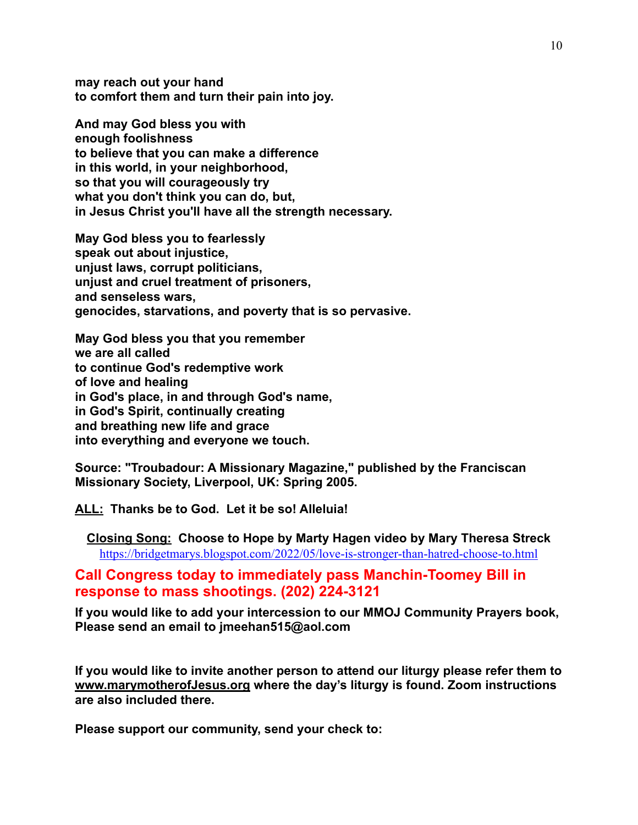**may reach out your hand to comfort them and turn their pain into joy.**

**And may God bless you with enough foolishness to believe that you can make a difference in this world, in your neighborhood, so that you will courageously try what you don't think you can do, but, in Jesus Christ you'll have all the strength necessary.**

**May God bless you to fearlessly speak out about injustice, unjust laws, corrupt politicians, unjust and cruel treatment of prisoners, and senseless wars, genocides, starvations, and poverty that is so pervasive.**

**May God bless you that you remember we are all called to continue God's redemptive work of love and healing in God's place, in and through God's name, in God's Spirit, continually creating and breathing new life and grace into everything and everyone we touch.**

**Source: "Troubadour: A Missionary Magazine," published by the Franciscan Missionary Society, Liverpool, UK: Spring 2005.**

**ALL: Thanks be to God. Let it be so! Alleluia!** 

**Closing Song: Choose to Hope by Marty Hagen video by Mary Theresa Streck** <https://bridgetmarys.blogspot.com/2022/05/love-is-stronger-than-hatred-choose-to.html>

# **Call Congress today to immediately pass Manchin-Toomey Bill in response to mass shootings. (202) 224-3121**

**If you would like to add your intercession to our MMOJ Community Prayers book, Please send an email to jmeehan515@aol.com**

**If you would like to invite another person to attend our liturgy please refer them to [www.marymotherofJesus.org](http://www.marymotherofJesus.org) where the day's liturgy is found. Zoom instructions are also included there.**

**Please support our community, send your check to:**